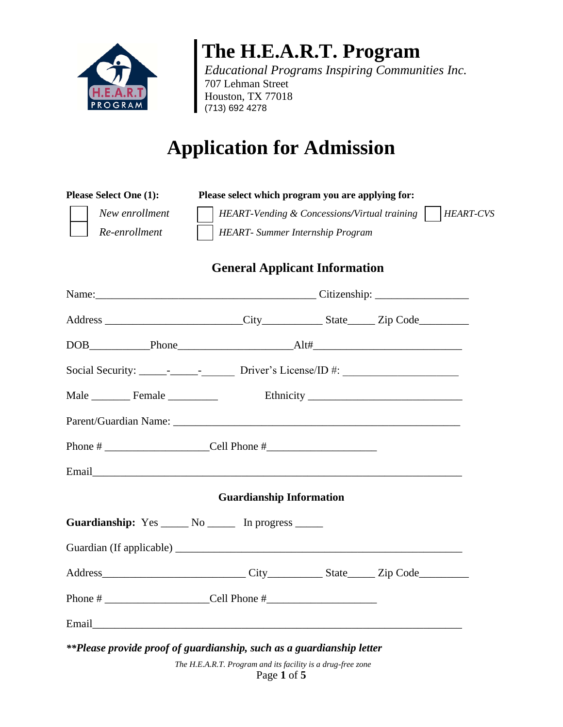

## **The H.E.A.R.T. Program**

*Educational Programs Inspiring Communities Inc.* 707 Lehman Street Houston, TX 77018 (713) 692 4278

# **Application for Admission**

| <b>Please Select One (1):</b>   |  | Please select which program you are applying for:                                                              |  |  |  |
|---------------------------------|--|----------------------------------------------------------------------------------------------------------------|--|--|--|
| New enrollment<br>Re-enrollment |  | HEART-Vending & Concessions/Virtual training  <br><i>HEART-CVS</i><br><b>HEART</b> - Summer Internship Program |  |  |  |
|                                 |  |                                                                                                                |  |  |  |

### **General Applicant Information**

|                                                                       | <b>Guardianship Information</b> |  |
|-----------------------------------------------------------------------|---------------------------------|--|
| Guardianship: Yes ______ No ______ In progress ______                 |                                 |  |
|                                                                       |                                 |  |
|                                                                       |                                 |  |
| Phone # $\_\_$                                                        |                                 |  |
|                                                                       |                                 |  |
| **Please provide proof of guardianship, such as a guardianship letter |                                 |  |

*The H.E.A.R.T. Program and its facility is a drug-free zone* Page **1** of **5**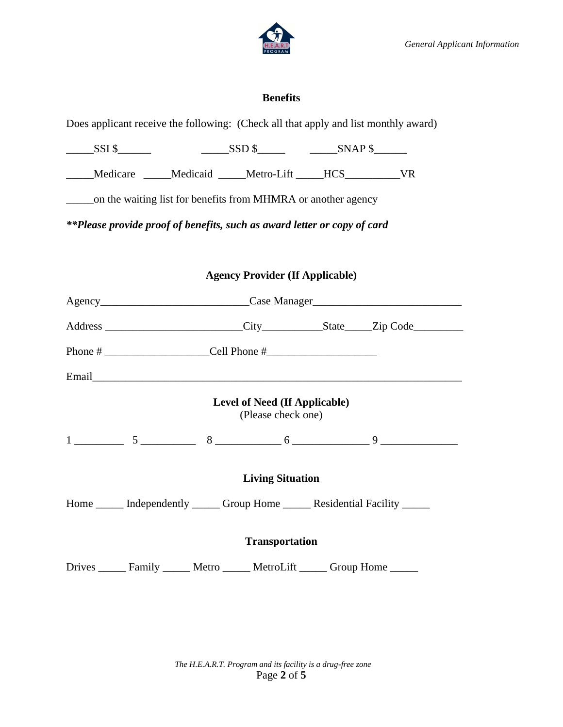

#### **Benefits**

Does applicant receive the following: (Check all that apply and list monthly award)

\_\_\_\_\_SSI \$\_\_\_\_\_\_ \_\_\_\_\_SSD \$\_\_\_\_\_ \_\_\_\_\_SNAP \$\_\_\_\_\_\_

\_\_\_\_\_Medicare \_\_\_\_\_Medicaid \_\_\_\_\_Metro-Lift \_\_\_\_\_HCS\_\_\_\_\_\_\_\_\_\_VR

\_\_\_\_\_on the waiting list for benefits from MHMRA or another agency

*\*\*Please provide proof of benefits, such as award letter or copy of card*

#### **Agency Provider (If Applicable)**

|                                                                                |                                                            | Agency_________________________________Case Manager______________________________           |  |
|--------------------------------------------------------------------------------|------------------------------------------------------------|---------------------------------------------------------------------------------------------|--|
|                                                                                |                                                            | Address _________________________City ______________State _____Zip Code _________           |  |
|                                                                                |                                                            |                                                                                             |  |
|                                                                                |                                                            |                                                                                             |  |
|                                                                                | <b>Level of Need (If Applicable)</b><br>(Please check one) |                                                                                             |  |
|                                                                                |                                                            | $1 \longrightarrow 5 \longrightarrow 8 \longrightarrow 6 \longrightarrow 9 \longrightarrow$ |  |
|                                                                                | <b>Living Situation</b>                                    |                                                                                             |  |
|                                                                                |                                                            | Home ______ Independently ______ Group Home ______ Residential Facility ______              |  |
|                                                                                | <b>Transportation</b>                                      |                                                                                             |  |
| Drives _______ Family _______ Metro _______ MetroLift ______ Group Home ______ |                                                            |                                                                                             |  |

*The H.E.A.R.T. Program and its facility is a drug-free zone* Page **2** of **5**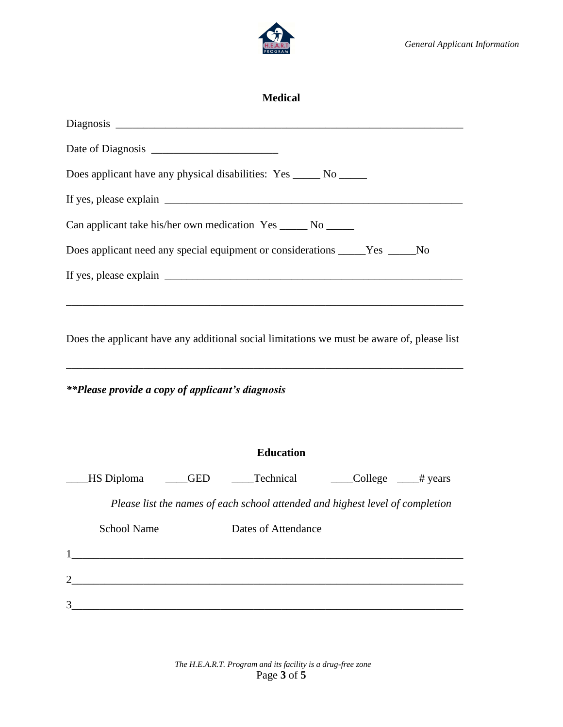

| <b>Medical</b>                                                                                                                                        |
|-------------------------------------------------------------------------------------------------------------------------------------------------------|
|                                                                                                                                                       |
|                                                                                                                                                       |
| Does applicant have any physical disabilities: Yes ______ No ______                                                                                   |
|                                                                                                                                                       |
| Can applicant take his/her own medication Yes ______ No ______                                                                                        |
| Does applicant need any special equipment or considerations _____Yes _____No                                                                          |
|                                                                                                                                                       |
| Does the applicant have any additional social limitations we must be aware of, please list<br><i>**Please provide a copy of applicant's diagnosis</i> |
| <b>Education</b>                                                                                                                                      |
| HS Diploma _____GED _____Technical _______College _____# years                                                                                        |
| Please list the names of each school attended and highest level of completion                                                                         |
| <b>School Name</b><br>Dates of Attendance                                                                                                             |
|                                                                                                                                                       |
|                                                                                                                                                       |
| 3<br><u> 1989 - Johann Barbara, martxa alemaniar argamento este alemaniar alemaniar alemaniar alemaniar alemaniar a</u>                               |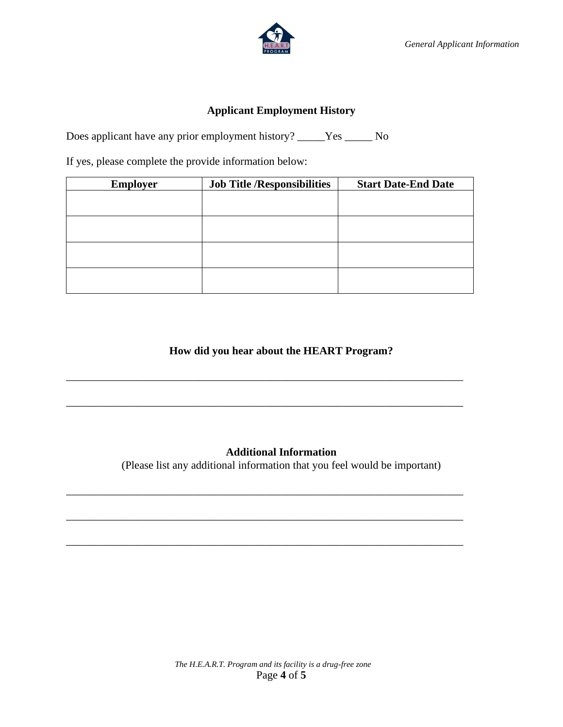



#### **Applicant Employment History**

Does applicant have any prior employment history? \_\_\_\_\_Yes \_\_\_\_\_ No

If yes, please complete the provide information below:

| <b>Employer</b> | <b>Job Title /Responsibilities</b> | <b>Start Date-End Date</b> |
|-----------------|------------------------------------|----------------------------|
|                 |                                    |                            |
|                 |                                    |                            |
|                 |                                    |                            |
|                 |                                    |                            |
|                 |                                    |                            |
|                 |                                    |                            |
|                 |                                    |                            |
|                 |                                    |                            |

**How did you hear about the HEART Program?** 

\_\_\_\_\_\_\_\_\_\_\_\_\_\_\_\_\_\_\_\_\_\_\_\_\_\_\_\_\_\_\_\_\_\_\_\_\_\_\_\_\_\_\_\_\_\_\_\_\_\_\_\_\_\_\_\_\_\_\_\_\_\_\_\_\_\_\_\_\_\_\_\_

\_\_\_\_\_\_\_\_\_\_\_\_\_\_\_\_\_\_\_\_\_\_\_\_\_\_\_\_\_\_\_\_\_\_\_\_\_\_\_\_\_\_\_\_\_\_\_\_\_\_\_\_\_\_\_\_\_\_\_\_\_\_\_\_\_\_\_\_\_\_\_\_

\_\_\_\_\_\_\_\_\_\_\_\_\_\_\_\_\_\_\_\_\_\_\_\_\_\_\_\_\_\_\_\_\_\_\_\_\_\_\_\_\_\_\_\_\_\_\_\_\_\_\_\_\_\_\_\_\_\_\_\_\_\_\_\_\_\_\_\_\_\_\_\_

\_\_\_\_\_\_\_\_\_\_\_\_\_\_\_\_\_\_\_\_\_\_\_\_\_\_\_\_\_\_\_\_\_\_\_\_\_\_\_\_\_\_\_\_\_\_\_\_\_\_\_\_\_\_\_\_\_\_\_\_\_\_\_\_\_\_\_\_\_\_\_\_

\_\_\_\_\_\_\_\_\_\_\_\_\_\_\_\_\_\_\_\_\_\_\_\_\_\_\_\_\_\_\_\_\_\_\_\_\_\_\_\_\_\_\_\_\_\_\_\_\_\_\_\_\_\_\_\_\_\_\_\_\_\_\_\_\_\_\_\_\_\_\_\_

#### **Additional Information**

(Please list any additional information that you feel would be important)